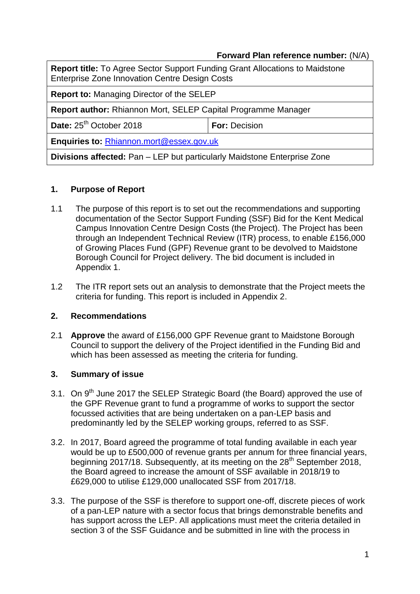#### **Forward Plan reference number:** (N/A)

**Report title:** To Agree Sector Support Funding Grant Allocations to Maidstone Enterprise Zone Innovation Centre Design Costs

**Report to:** Managing Director of the SELEP

**Report author:** Rhiannon Mort, SELEP Capital Programme Manager

**Date:**  $25^{th}$  October 2018 **For:** Decision

**Enquiries to:** [Rhiannon.mort@essex.gov.uk](mailto:Rhiannon.mort@essex.gov.uk)

**Divisions affected:** Pan – LEP but particularly Maidstone Enterprise Zone

#### **1. Purpose of Report**

- 1.1 The purpose of this report is to set out the recommendations and supporting documentation of the Sector Support Funding (SSF) Bid for the Kent Medical Campus Innovation Centre Design Costs (the Project). The Project has been through an Independent Technical Review (ITR) process, to enable £156,000 of Growing Places Fund (GPF) Revenue grant to be devolved to Maidstone Borough Council for Project delivery. The bid document is included in Appendix 1.
- 1.2 The ITR report sets out an analysis to demonstrate that the Project meets the criteria for funding. This report is included in Appendix 2.

#### **2. Recommendations**

2.1 **Approve** the award of £156,000 GPF Revenue grant to Maidstone Borough Council to support the delivery of the Project identified in the Funding Bid and which has been assessed as meeting the criteria for funding.

# **3. Summary of issue**

- 3.1. On 9<sup>th</sup> June 2017 the SELEP Strategic Board (the Board) approved the use of the GPF Revenue grant to fund a programme of works to support the sector focussed activities that are being undertaken on a pan-LEP basis and predominantly led by the SELEP working groups, referred to as SSF.
- 3.2. In 2017, Board agreed the programme of total funding available in each year would be up to £500,000 of revenue grants per annum for three financial years, beginning 2017/18. Subsequently, at its meeting on the 28<sup>th</sup> September 2018, the Board agreed to increase the amount of SSF available in 2018/19 to £629,000 to utilise £129,000 unallocated SSF from 2017/18.
- 3.3. The purpose of the SSF is therefore to support one-off, discrete pieces of work of a pan-LEP nature with a sector focus that brings demonstrable benefits and has support across the LEP. All applications must meet the criteria detailed in section 3 of the SSF Guidance and be submitted in line with the process in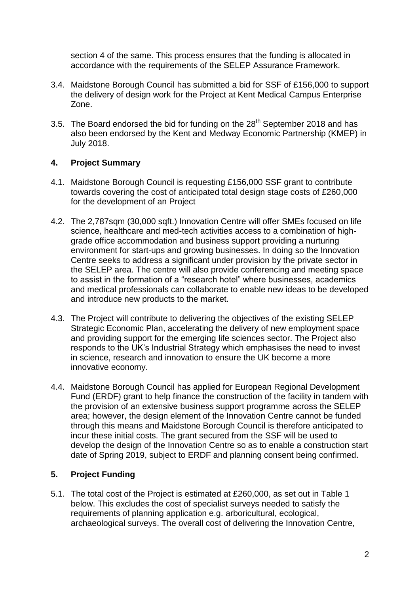section 4 of the same. This process ensures that the funding is allocated in accordance with the requirements of the SELEP Assurance Framework.

- 3.4. Maidstone Borough Council has submitted a bid for SSF of £156,000 to support the delivery of design work for the Project at Kent Medical Campus Enterprise Zone.
- 3.5. The Board endorsed the bid for funding on the 28<sup>th</sup> September 2018 and has also been endorsed by the Kent and Medway Economic Partnership (KMEP) in July 2018.

# **4. Project Summary**

- 4.1. Maidstone Borough Council is requesting £156,000 SSF grant to contribute towards covering the cost of anticipated total design stage costs of £260,000 for the development of an Project
- 4.2. The 2,787sqm (30,000 sqft.) Innovation Centre will offer SMEs focused on life science, healthcare and med-tech activities access to a combination of highgrade office accommodation and business support providing a nurturing environment for start-ups and growing businesses. In doing so the Innovation Centre seeks to address a significant under provision by the private sector in the SELEP area. The centre will also provide conferencing and meeting space to assist in the formation of a "research hotel" where businesses, academics and medical professionals can collaborate to enable new ideas to be developed and introduce new products to the market.
- 4.3. The Project will contribute to delivering the objectives of the existing SELEP Strategic Economic Plan, accelerating the delivery of new employment space and providing support for the emerging life sciences sector. The Project also responds to the UK's Industrial Strategy which emphasises the need to invest in science, research and innovation to ensure the UK become a more innovative economy.
- 4.4. Maidstone Borough Council has applied for European Regional Development Fund (ERDF) grant to help finance the construction of the facility in tandem with the provision of an extensive business support programme across the SELEP area; however, the design element of the Innovation Centre cannot be funded through this means and Maidstone Borough Council is therefore anticipated to incur these initial costs. The grant secured from the SSF will be used to develop the design of the Innovation Centre so as to enable a construction start date of Spring 2019, subject to ERDF and planning consent being confirmed.

# **5. Project Funding**

5.1. The total cost of the Project is estimated at £260,000, as set out in Table 1 below. This excludes the cost of specialist surveys needed to satisfy the requirements of planning application e.g. arboricultural, ecological, archaeological surveys. The overall cost of delivering the Innovation Centre,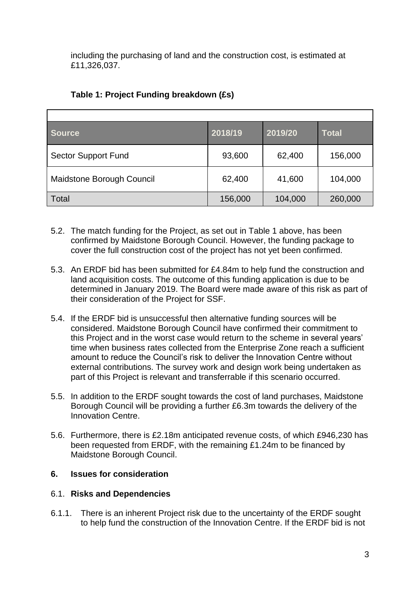including the purchasing of land and the construction cost, is estimated at £11,326,037.

| <b>Source</b>              | 2018/19 | 2019/20 | <b>Total</b> |
|----------------------------|---------|---------|--------------|
| <b>Sector Support Fund</b> | 93,600  | 62,400  | 156,000      |
| Maidstone Borough Council  | 62,400  | 41,600  | 104,000      |
| Total                      | 156,000 | 104,000 | 260,000      |

# **Table 1: Project Funding breakdown (£s)**

- 5.2. The match funding for the Project, as set out in Table 1 above, has been confirmed by Maidstone Borough Council. However, the funding package to cover the full construction cost of the project has not yet been confirmed.
- 5.3. An ERDF bid has been submitted for £4.84m to help fund the construction and land acquisition costs. The outcome of this funding application is due to be determined in January 2019. The Board were made aware of this risk as part of their consideration of the Project for SSF.
- 5.4. If the ERDF bid is unsuccessful then alternative funding sources will be considered. Maidstone Borough Council have confirmed their commitment to this Project and in the worst case would return to the scheme in several years' time when business rates collected from the Enterprise Zone reach a sufficient amount to reduce the Council's risk to deliver the Innovation Centre without external contributions. The survey work and design work being undertaken as part of this Project is relevant and transferrable if this scenario occurred.
- 5.5. In addition to the ERDF sought towards the cost of land purchases, Maidstone Borough Council will be providing a further £6.3m towards the delivery of the Innovation Centre.
- 5.6. Furthermore, there is £2.18m anticipated revenue costs, of which £946,230 has been requested from ERDF, with the remaining £1.24m to be financed by Maidstone Borough Council.

# **6. Issues for consideration**

# 6.1. **Risks and Dependencies**

6.1.1. There is an inherent Project risk due to the uncertainty of the ERDF sought to help fund the construction of the Innovation Centre. If the ERDF bid is not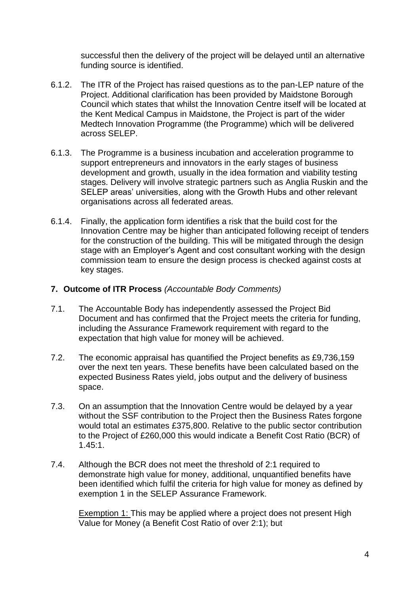successful then the delivery of the project will be delayed until an alternative funding source is identified.

- 6.1.2. The ITR of the Project has raised questions as to the pan-LEP nature of the Project. Additional clarification has been provided by Maidstone Borough Council which states that whilst the Innovation Centre itself will be located at the Kent Medical Campus in Maidstone, the Project is part of the wider Medtech Innovation Programme (the Programme) which will be delivered across SELEP.
- 6.1.3. The Programme is a business incubation and acceleration programme to support entrepreneurs and innovators in the early stages of business development and growth, usually in the idea formation and viability testing stages. Delivery will involve strategic partners such as Anglia Ruskin and the SELEP areas' universities, along with the Growth Hubs and other relevant organisations across all federated areas.
- 6.1.4. Finally, the application form identifies a risk that the build cost for the Innovation Centre may be higher than anticipated following receipt of tenders for the construction of the building. This will be mitigated through the design stage with an Employer's Agent and cost consultant working with the design commission team to ensure the design process is checked against costs at key stages.

#### **7. Outcome of ITR Process** *(Accountable Body Comments)*

- 7.1. The Accountable Body has independently assessed the Project Bid Document and has confirmed that the Project meets the criteria for funding, including the Assurance Framework requirement with regard to the expectation that high value for money will be achieved.
- 7.2. The economic appraisal has quantified the Project benefits as £9,736,159 over the next ten years. These benefits have been calculated based on the expected Business Rates yield, jobs output and the delivery of business space.
- 7.3. On an assumption that the Innovation Centre would be delayed by a year without the SSF contribution to the Project then the Business Rates forgone would total an estimates £375,800. Relative to the public sector contribution to the Project of £260,000 this would indicate a Benefit Cost Ratio (BCR) of 1.45:1.
- 7.4. Although the BCR does not meet the threshold of 2:1 required to demonstrate high value for money, additional, unquantified benefits have been identified which fulfil the criteria for high value for money as defined by exemption 1 in the SELEP Assurance Framework.

Exemption 1: This may be applied where a project does not present High Value for Money (a Benefit Cost Ratio of over 2:1); but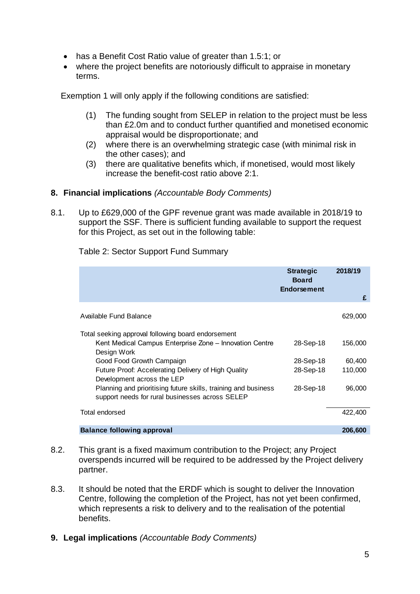- has a Benefit Cost Ratio value of greater than 1.5:1; or
- where the project benefits are notoriously difficult to appraise in monetary terms.

Exemption 1 will only apply if the following conditions are satisfied:

- (1) The funding sought from SELEP in relation to the project must be less than £2.0m and to conduct further quantified and monetised economic appraisal would be disproportionate; and
- (2) where there is an overwhelming strategic case (with minimal risk in the other cases); and
- (3) there are qualitative benefits which, if monetised, would most likely increase the benefit-cost ratio above 2:1.

#### **8. Financial implications** *(Accountable Body Comments)*

8.1. Up to £629,000 of the GPF revenue grant was made available in 2018/19 to support the SSF. There is sufficient funding available to support the request for this Project, as set out in the following table:

|                                                                                                                                                                                                                                                                                                                                                                     | <b>Strategic</b><br><b>Board</b><br><b>Endorsement</b> | 2018/19<br>£                           |
|---------------------------------------------------------------------------------------------------------------------------------------------------------------------------------------------------------------------------------------------------------------------------------------------------------------------------------------------------------------------|--------------------------------------------------------|----------------------------------------|
| Available Fund Balance                                                                                                                                                                                                                                                                                                                                              |                                                        | 629,000                                |
| Total seeking approval following board endorsement<br>Kent Medical Campus Enterprise Zone – Innovation Centre<br>Design Work<br>Good Food Growth Campaign<br>Future Proof: Accelerating Delivery of High Quality<br>Development across the LEP<br>Planning and prioritising future skills, training and business<br>support needs for rural businesses across SELEP | 28-Sep-18<br>28-Sep-18<br>28-Sep-18<br>28-Sep-18       | 156,000<br>60,400<br>110,000<br>96,000 |
| Total endorsed                                                                                                                                                                                                                                                                                                                                                      |                                                        | 422,400                                |
| <b>Balance following approval</b>                                                                                                                                                                                                                                                                                                                                   |                                                        | 206,600                                |

Table 2: Sector Support Fund Summary

- 8.2. This grant is a fixed maximum contribution to the Project; any Project overspends incurred will be required to be addressed by the Project delivery partner.
- 8.3. It should be noted that the ERDF which is sought to deliver the Innovation Centre, following the completion of the Project, has not yet been confirmed, which represents a risk to delivery and to the realisation of the potential benefits.
- **9. Legal implications** *(Accountable Body Comments)*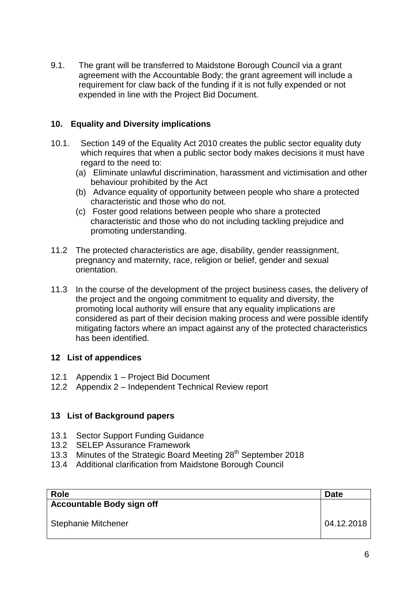9.1. The grant will be transferred to Maidstone Borough Council via a grant agreement with the Accountable Body; the grant agreement will include a requirement for claw back of the funding if it is not fully expended or not expended in line with the Project Bid Document.

#### **10. Equality and Diversity implications**

- 10.1. Section 149 of the Equality Act 2010 creates the public sector equality duty which requires that when a public sector body makes decisions it must have regard to the need to:
	- (a) Eliminate unlawful discrimination, harassment and victimisation and other behaviour prohibited by the Act
	- (b) Advance equality of opportunity between people who share a protected characteristic and those who do not.
	- (c) Foster good relations between people who share a protected characteristic and those who do not including tackling prejudice and promoting understanding.
- 11.2 The protected characteristics are age, disability, gender reassignment, pregnancy and maternity, race, religion or belief, gender and sexual orientation.
- 11.3 In the course of the development of the project business cases, the delivery of the project and the ongoing commitment to equality and diversity, the promoting local authority will ensure that any equality implications are considered as part of their decision making process and were possible identify mitigating factors where an impact against any of the protected characteristics has been identified.

# **12 List of appendices**

- 12.1 Appendix 1 Project Bid Document
- 12.2 Appendix 2 Independent Technical Review report

# **13 List of Background papers**

- 13.1 Sector Support Funding Guidance
- 13.2 SELEP Assurance Framework
- 13.3 Minutes of the Strategic Board Meeting 28<sup>th</sup> September 2018
- 13.4 Additional clarification from Maidstone Borough Council

| <b>Role</b>                      | <b>Date</b> |
|----------------------------------|-------------|
| <b>Accountable Body sign off</b> |             |
| <b>Stephanie Mitchener</b>       | 04.12.2018  |